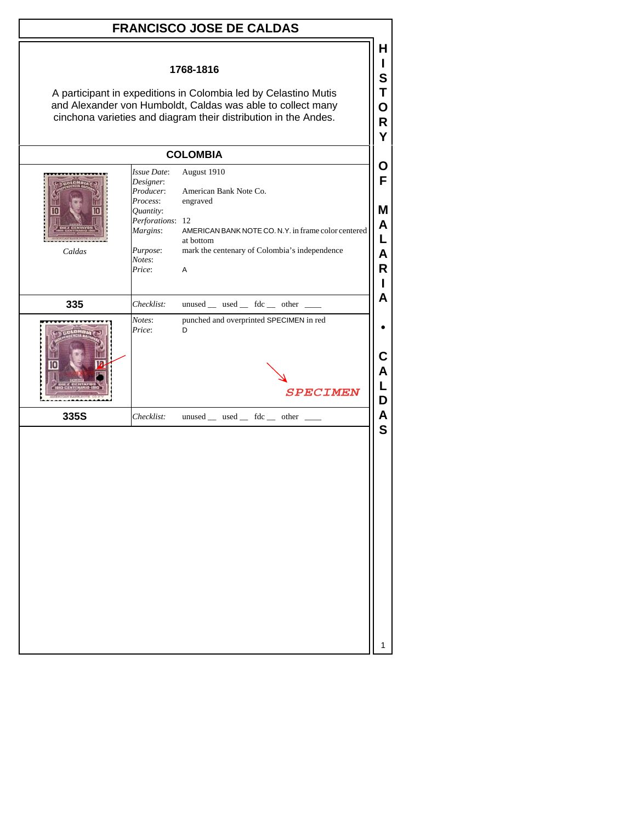|                                                                                                                                                                                                                |                                                                                                                                | <b>FRANCISCO JOSE DE CALDAS</b>                                                                                                                                             |                                 |
|----------------------------------------------------------------------------------------------------------------------------------------------------------------------------------------------------------------|--------------------------------------------------------------------------------------------------------------------------------|-----------------------------------------------------------------------------------------------------------------------------------------------------------------------------|---------------------------------|
| 1768-1816<br>A participant in expeditions in Colombia led by Celastino Mutis<br>and Alexander von Humboldt, Caldas was able to collect many<br>cinchona varieties and diagram their distribution in the Andes. |                                                                                                                                |                                                                                                                                                                             |                                 |
|                                                                                                                                                                                                                |                                                                                                                                | <b>COLOMBIA</b>                                                                                                                                                             |                                 |
| Caldas                                                                                                                                                                                                         | Issue Date:<br>Designer:<br>Producer:<br>Process:<br>Quantity:<br>Perforations: 12<br>Margins:<br>Purpose:<br>Notes:<br>Price: | August 1910<br>American Bank Note Co.<br>engraved<br>AMERICAN BANK NOTE CO. N.Y. in frame color centered<br>at bottom<br>mark the centenary of Colombia's independence<br>A | Ő<br>F<br>М<br>A<br>L<br>Α<br>R |
| 335                                                                                                                                                                                                            | Checklist:                                                                                                                     | unused _ used _ fdc _ other _ _                                                                                                                                             | A                               |
|                                                                                                                                                                                                                | Notes:<br>Price:                                                                                                               | punched and overprinted SPECIMEN in red<br>D<br><b>SPECIMEN</b>                                                                                                             | D                               |
| 335S                                                                                                                                                                                                           | Checklist:                                                                                                                     | unused __ used __ fdc __ other ___                                                                                                                                          | Α                               |
|                                                                                                                                                                                                                |                                                                                                                                |                                                                                                                                                                             | S                               |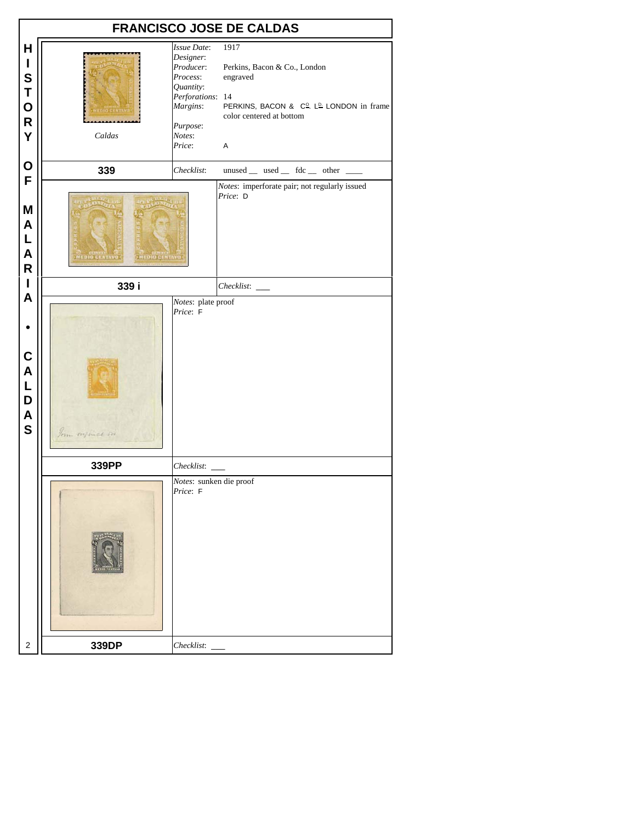|                                                       |                                            |                                                                                                                                       | <b>FRANCISCO JOSE DE CALDAS</b>                                                                                                                        |
|-------------------------------------------------------|--------------------------------------------|---------------------------------------------------------------------------------------------------------------------------------------|--------------------------------------------------------------------------------------------------------------------------------------------------------|
| Н<br>I<br>S<br>T<br>$\mathbf{o}$<br>$\mathsf{R}$<br>Y | Caldas                                     | <b>Issue Date:</b><br>Designer:<br>Producer:<br>Process:<br>Quantity:<br>Perforations: 14<br>Margins:<br>Purpose:<br>Notes:<br>Price: | 1917<br>Perkins, Bacon & Co., London<br>engraved<br>PERKINS, BACON & C <sup>o</sup> . L <sup>D.</sup> LONDON in frame<br>color centered at bottom<br>A |
| O<br>F                                                | 339                                        | Checklist:                                                                                                                            | $unused$ __ used __ fdc __ other ___                                                                                                                   |
| M<br>A<br>L<br>A<br>$\mathsf{R}$                      | <b>MEDIO CENTA</b><br><b>MEDIO CENTAVI</b> |                                                                                                                                       | Notes: imperforate pair; not regularly issued<br>Price: D                                                                                              |
| I                                                     | 339 i                                      |                                                                                                                                       | Checklist:                                                                                                                                             |
| A<br>C<br>A<br>L<br>D<br>A<br>S                       | From right                                 | Notes: plate proof<br>Price: F                                                                                                        |                                                                                                                                                        |
|                                                       | 339PP                                      | Checklist: _                                                                                                                          |                                                                                                                                                        |
|                                                       |                                            | Notes: sunken die proof<br>Price: F                                                                                                   |                                                                                                                                                        |
| 2                                                     | 339DP                                      |                                                                                                                                       |                                                                                                                                                        |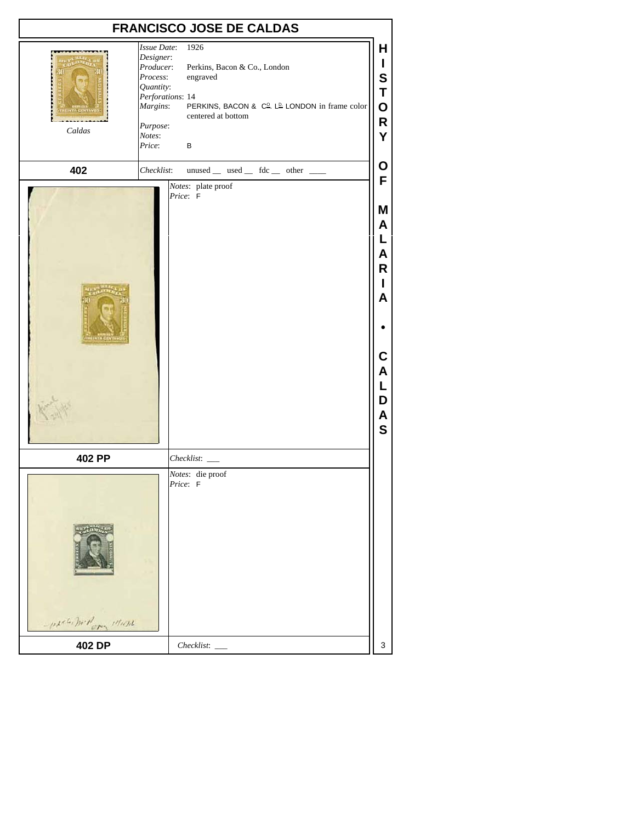|                     |                                                                                                                                       | <b>FRANCISCO JOSE DE CALDAS</b>                                                                                                                        |                                                                    |
|---------------------|---------------------------------------------------------------------------------------------------------------------------------------|--------------------------------------------------------------------------------------------------------------------------------------------------------|--------------------------------------------------------------------|
| Caldas              | <b>Issue Date:</b><br>Designer:<br>Producer:<br>Process:<br>Quantity:<br>Perforations: 14<br>Margins:<br>Purpose:<br>Notes:<br>Price: | 1926<br>Perkins, Bacon & Co., London<br>engraved<br>PERKINS, BACON & C <sup>o</sup> . L <sup>p.</sup> LONDON in frame color<br>centered at bottom<br>в | Н<br>L<br>S<br>T<br>$\mathbf O$<br>R<br>Υ                          |
| 402                 | Checklist:                                                                                                                            | unused _ used _ fdc _ other _                                                                                                                          | Ο<br>F                                                             |
|                     |                                                                                                                                       | Notes: plate proof<br>Price: F                                                                                                                         | Μ<br>A<br>L<br>Α<br>R<br>Α<br>С<br>A<br>L<br>D<br>A<br>$\mathbf s$ |
| 402 PP              |                                                                                                                                       | Checklist:                                                                                                                                             |                                                                    |
| -probabilizer 11111 |                                                                                                                                       | Notes: die proof<br>Price: F                                                                                                                           |                                                                    |
| 402 DP              |                                                                                                                                       | Checklist:                                                                                                                                             | 3                                                                  |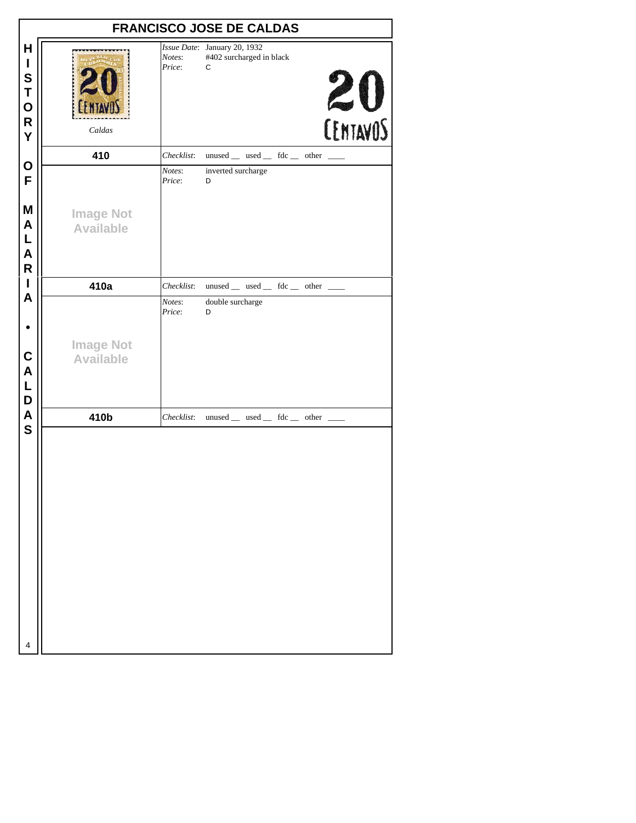|                                                                 |                                      |                  | <b>FRANCISCO JOSE DE CALDAS</b>                               |                     |
|-----------------------------------------------------------------|--------------------------------------|------------------|---------------------------------------------------------------|---------------------|
| H<br>I<br>$\mathbf s$<br>T<br>$\mathbf{o}$<br>$\mathsf{R}$<br>Y | Caldas                               | Notes:<br>Price: | Issue Date: January 20, 1932<br>#402 surcharged in black<br>С | $20$<br>$[EMTAVOS]$ |
|                                                                 | 410                                  | Checklist:       | $unused$ __ used __ fdc __ other __                           |                     |
| O<br>F                                                          |                                      | Notes:<br>Price: | inverted surcharge<br>D                                       |                     |
| M<br>$\pmb{\mathsf{A}}$<br>L<br>$\mathsf{A}$<br>$\mathsf{R}$    | <b>Image Not</b><br><b>Available</b> |                  |                                                               |                     |
| I                                                               | 410a                                 | Checklist:       | unused _ used _ fdc _ other _                                 |                     |
| A                                                               |                                      | Notes:<br>Price: | double surcharge<br>D                                         |                     |
| $\mathbf c$<br>$\overline{\mathsf{A}}$<br>L<br>D                | <b>Image Not</b><br><b>Available</b> |                  |                                                               |                     |
| $\overline{\mathsf{A}}$                                         | 410b                                 | Checklist:       | $unused$ __ used __ fdc __ other __                           |                     |
| $\mathbf S$                                                     |                                      |                  |                                                               |                     |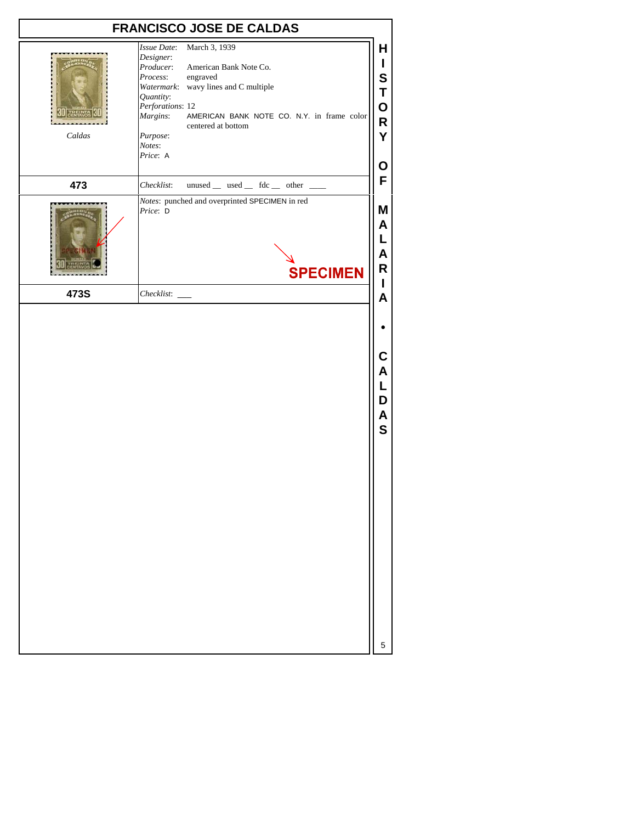|        | <b>FRANCISCO JOSE DE CALDAS</b>                                                                                                                                                                                                                                                                     |                                      |
|--------|-----------------------------------------------------------------------------------------------------------------------------------------------------------------------------------------------------------------------------------------------------------------------------------------------------|--------------------------------------|
| Caldas | Issue Date:<br>March 3, 1939<br>Designer:<br>American Bank Note Co.<br>Producer:<br>Process:<br>engraved<br>Watermark: wavy lines and C multiple<br>Quantity:<br>Perforations: 12<br>AMERICAN BANK NOTE CO. N.Y. in frame color<br>Margins:<br>centered at bottom<br>Purpose:<br>Notes:<br>Price: A | H<br>L<br>S<br>Τ<br>O<br>R<br>Y<br>Ο |
| 473    | unused _ used _ fdc _ other _<br>Checklist:                                                                                                                                                                                                                                                         | F                                    |
|        | Notes: punched and overprinted SPECIMEN in red<br>Price: D<br><b>SPECIMEN</b>                                                                                                                                                                                                                       | M<br>A<br>L<br>Α<br>R                |
| 473S   | Checklist:                                                                                                                                                                                                                                                                                          | I<br>A                               |
|        |                                                                                                                                                                                                                                                                                                     |                                      |
|        |                                                                                                                                                                                                                                                                                                     | С<br>Α<br>L<br>D<br>Α<br>$\mathbf S$ |
|        |                                                                                                                                                                                                                                                                                                     | 5                                    |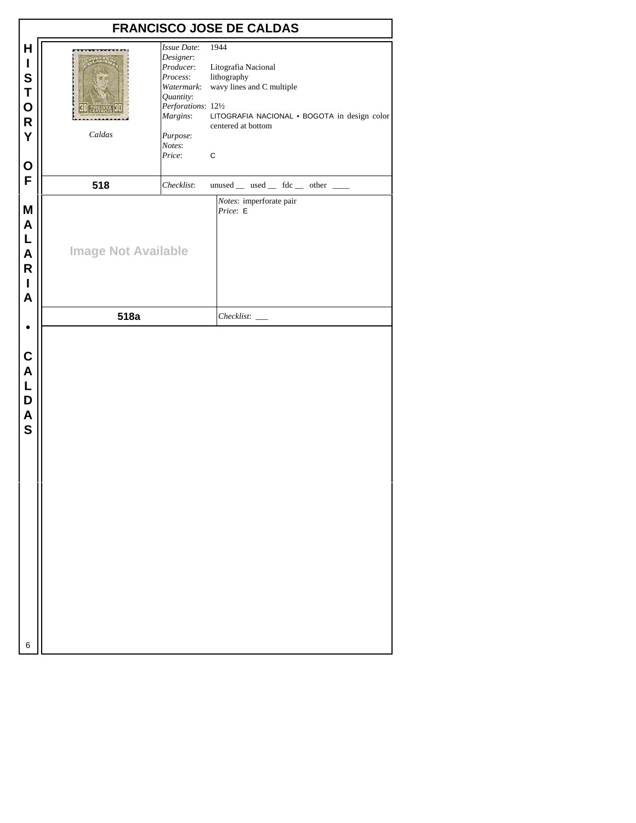| 1944<br>H<br>Issue Date:<br>Designer:<br>$\mathbf{I}$<br>Producer:<br>Litografia Nacional<br>S<br>lithography<br>Process:<br>wavy lines and C multiple<br>Watermark:<br>T<br>Quantity:<br>$\mathbf O$<br>Perforations: 121/2<br>Margins:<br>$\overline{\mathsf{R}}$<br>centered at bottom<br>Y<br>Caldas<br>Purpose:<br>Notes:<br>Price:<br>$\mathbf C$<br>O<br>F<br>518<br>unused __ used __ fdc __ other __<br>Checklist:<br>Notes: imperforate pair<br>M<br>Price: E<br>A<br>L<br><b>Image Not Available</b><br>A<br>$\mathsf{R}$<br>$\mathbf{I}$<br>A<br>518a<br>Checklist:<br>C<br>$\boldsymbol{\mathsf{A}}$<br>L<br>D<br>$\overline{\mathsf{A}}$<br>S |  | <b>FRANCISCO JOSE DE CALDAS</b>              |
|-------------------------------------------------------------------------------------------------------------------------------------------------------------------------------------------------------------------------------------------------------------------------------------------------------------------------------------------------------------------------------------------------------------------------------------------------------------------------------------------------------------------------------------------------------------------------------------------------------------------------------------------------------------|--|----------------------------------------------|
|                                                                                                                                                                                                                                                                                                                                                                                                                                                                                                                                                                                                                                                             |  | LITOGRAFIA NACIONAL · BOGOTA in design color |
|                                                                                                                                                                                                                                                                                                                                                                                                                                                                                                                                                                                                                                                             |  |                                              |
|                                                                                                                                                                                                                                                                                                                                                                                                                                                                                                                                                                                                                                                             |  |                                              |
|                                                                                                                                                                                                                                                                                                                                                                                                                                                                                                                                                                                                                                                             |  |                                              |
| 6                                                                                                                                                                                                                                                                                                                                                                                                                                                                                                                                                                                                                                                           |  |                                              |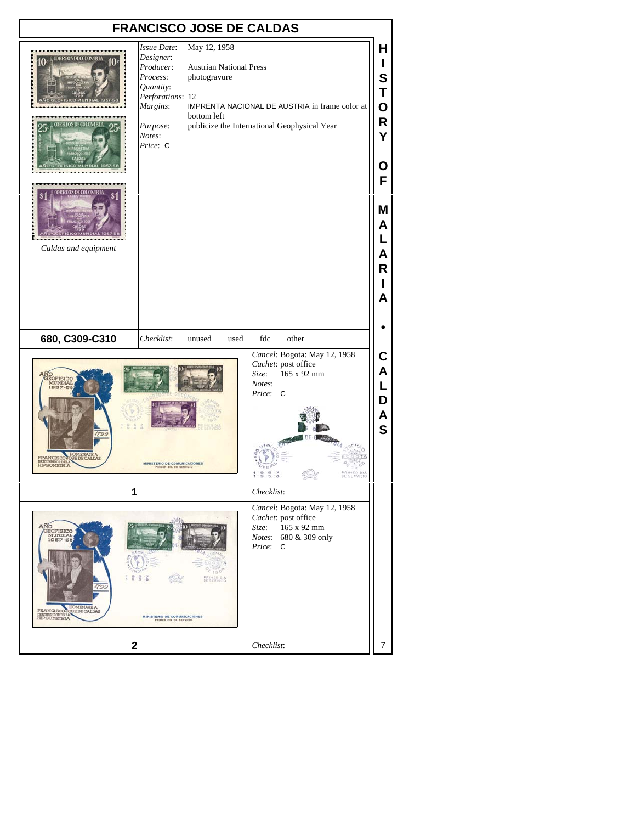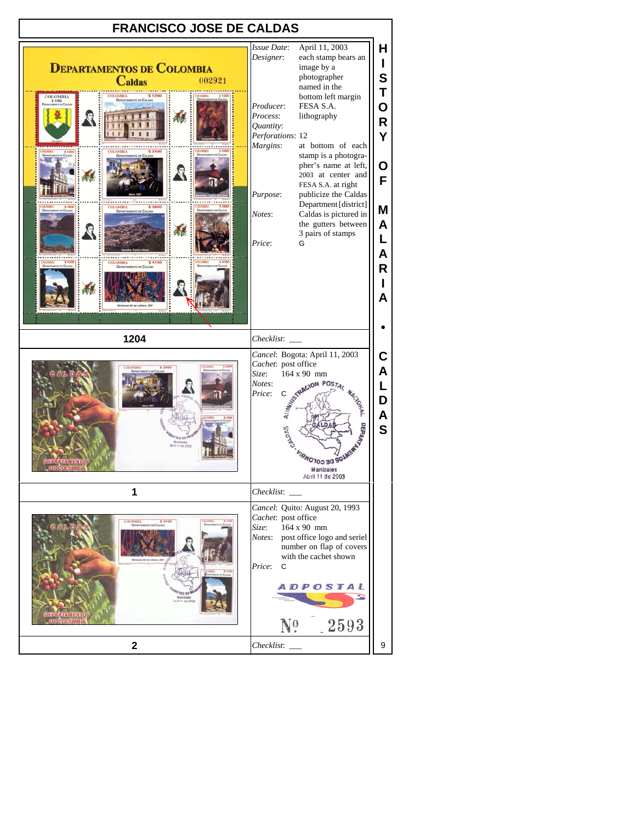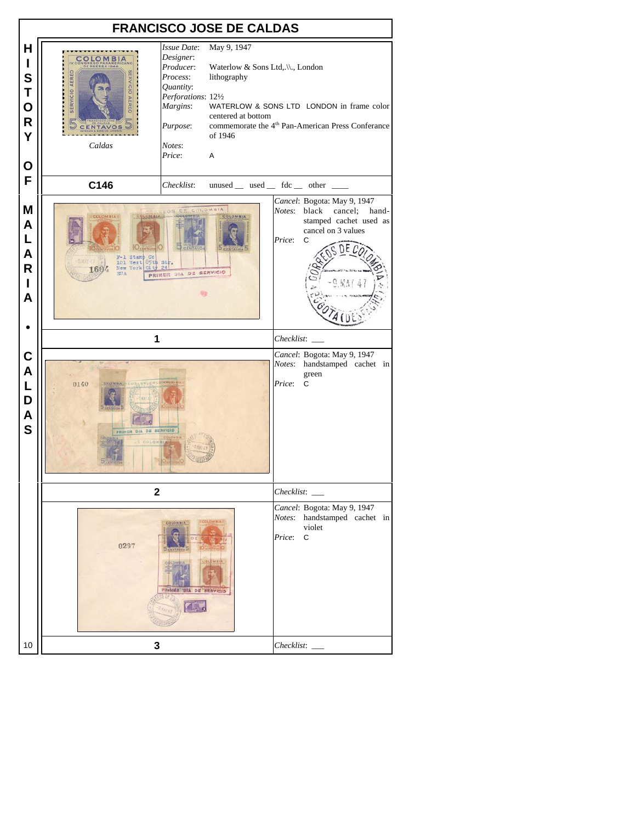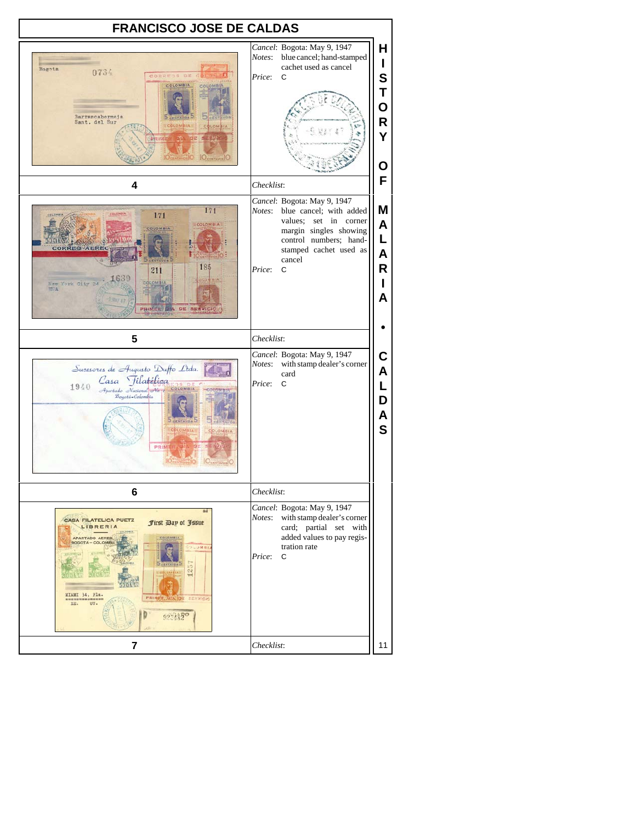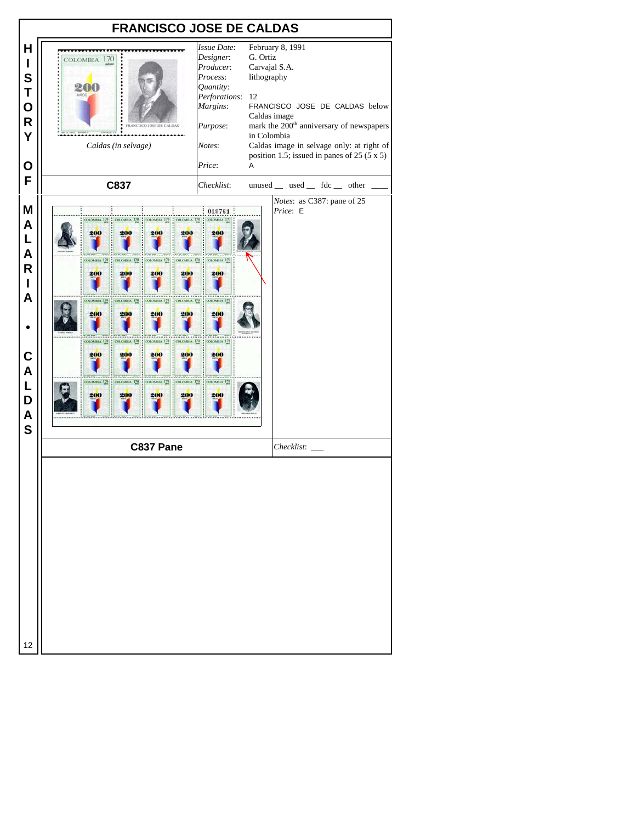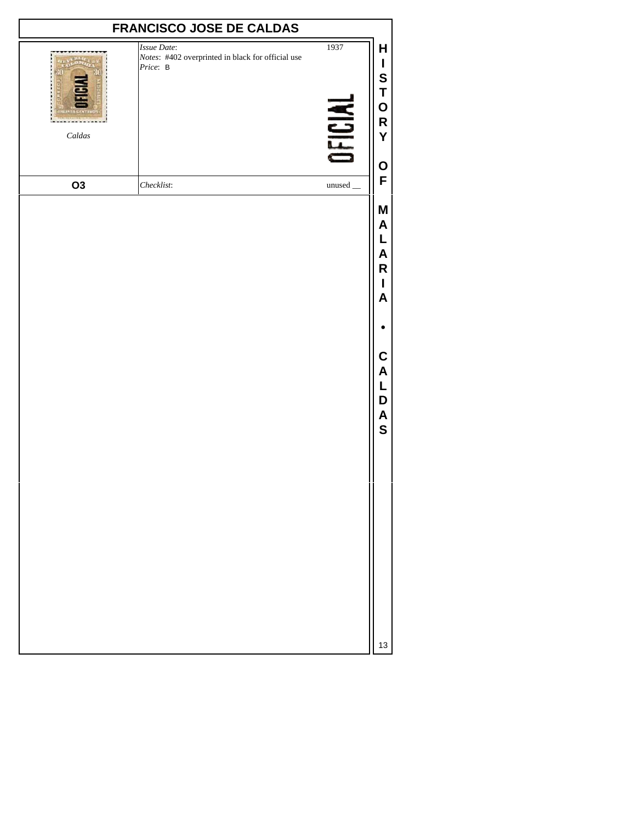|          | <b>FRANCISCO JOSE DE CALDAS</b>                                              |                                    |                                                                                       |
|----------|------------------------------------------------------------------------------|------------------------------------|---------------------------------------------------------------------------------------|
| $Caldas$ | Issue Date:<br>Notes: #402 overprinted in black for official use<br>Price: B | 1937<br><b>JFICIAL</b>             | Н<br>I<br>S<br>T<br>$\mathbf O$<br>$\mathsf R$<br>Y<br>O                              |
| O3       | Checklist:                                                                   | $unused$ <sub><math>-</math></sub> | F                                                                                     |
|          |                                                                              |                                    | M<br>$\boldsymbol{\mathsf{A}}$<br>A<br>R<br>L<br>A<br>C<br>A<br>D<br>A<br>$\mathbf S$ |
|          |                                                                              |                                    | 13                                                                                    |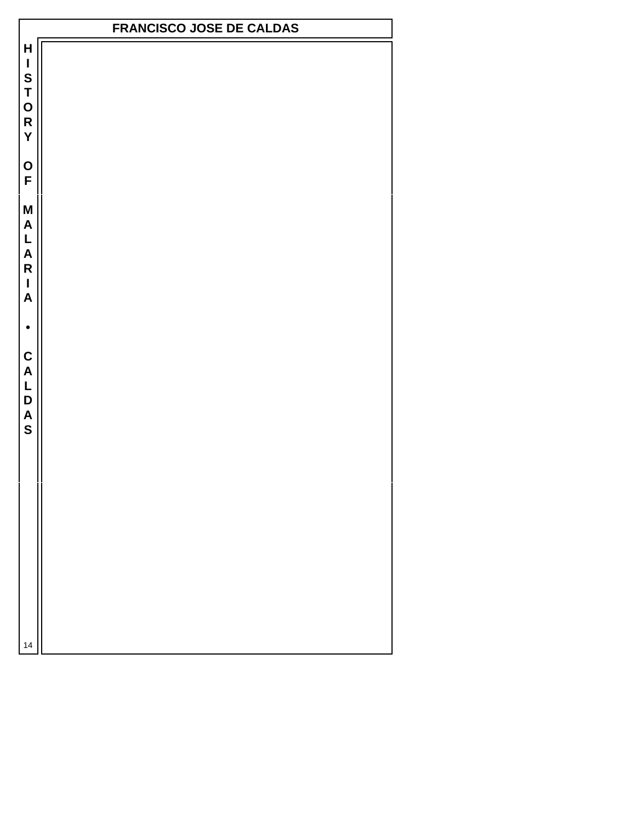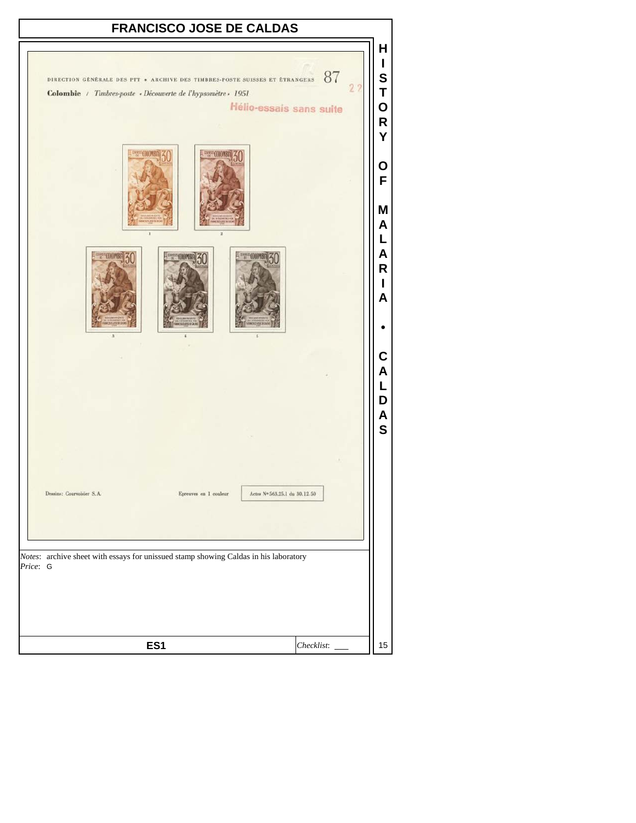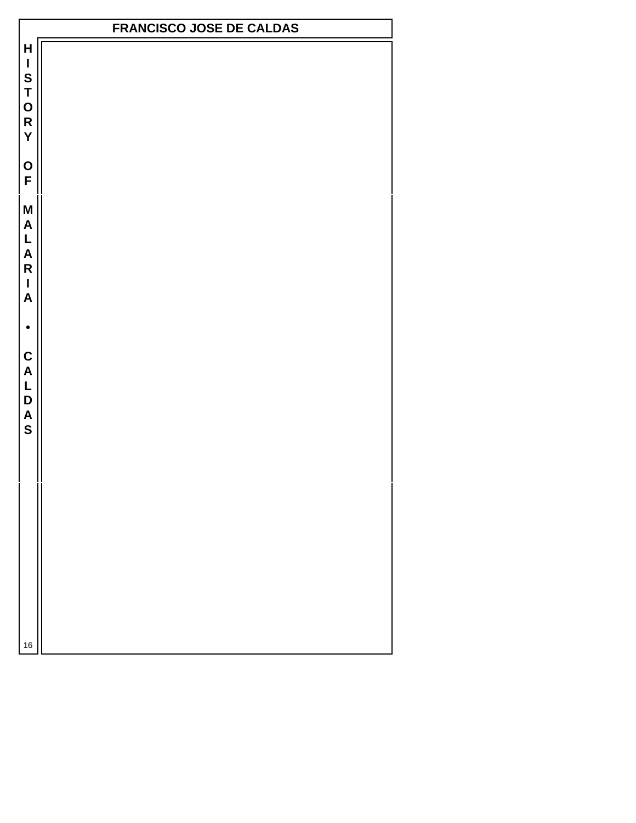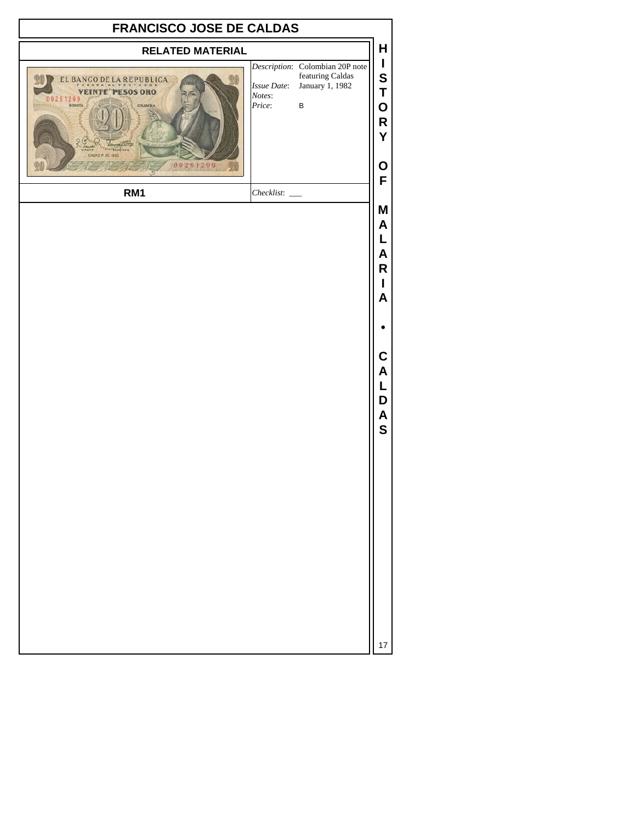| <b>FRANCISCO JOSE DE CALDAS</b>                                                                                   |                                                                                                                           |                                                               |  |  |
|-------------------------------------------------------------------------------------------------------------------|---------------------------------------------------------------------------------------------------------------------------|---------------------------------------------------------------|--|--|
| <b>RELATED MATERIAL</b>                                                                                           |                                                                                                                           | H                                                             |  |  |
| EL BANCO DE LA REPUBLICA<br><b>VEINTE PESOS ORO</b><br>09261299<br><b>ARTISTER</b><br>COLOMBIA<br>ENERO P DE 1982 | Description: Colombian 20P note<br>featuring Caldas<br>January 1, 1982<br>Issue Date:<br>Notes:<br>Price:<br>$\, {\bf B}$ | $\mathbf{I}$<br>S<br>Τ<br>0<br>R<br>Y                         |  |  |
| 09261299<br>RM1                                                                                                   | $Checklist:$ $\_\_$                                                                                                       | O<br>F                                                        |  |  |
|                                                                                                                   |                                                                                                                           | M<br>Α<br>Α<br>R<br>A<br>С<br>Α<br>L<br>D<br>A<br>$\mathbf S$ |  |  |